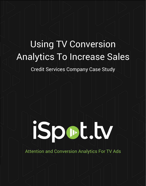## Using TV Conversion Analytics To Increase Sales

Credit Services Company Case Study

# iSpot.tv

Attention and Conversion Analytics For TV Ads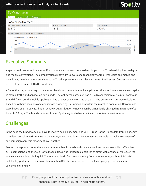#### Attention and Conversion Analytics for TV Ads



## Executive Summary

A global credit services brand uses iSpot.tv analytics to measure the direct impact that TV advertising has on digital and mobile conversions. The company uses iSpot's TV Conversions technology to track web visits and mobile app downloads, matching these activities to its TV ad impressions using viewers' home IP addresses. (Impressions are derived from a panel of 10M+ Smart TVs.)

After optimizing a campaign to use more visuals to promote its mobile application, the brand saw a subsequent spike in mobile traffic and application downloads. The optimized campaign had a 0.74% conversion rate; a prior campaign that didn't call out the mobile application had a lower conversion rate of 0.61%. The conversion rate was calculated based on website sessions and app installs divided by TV impressions within the matched population. Conversions were based on a 14-day attribution window, but attribution windows can be dynamically changed from a range of 2 hours to 30 days. The brand continues to use iSpot analytics to track online and mobile conversion rates.

## **Challenges**

ee

In the past, the brand waited 90 days to receive basic placement and GRP (Gross Rating Point) data from an agency to review campaign performance on a network, show, or ad level. Management was unable to track the success of one campaign or media placement over another.

Beyond the reporting delay, there were other roadblocks: the brand's agency couldn't measure mobile traffic driven by its campaigns, and the web traffic it could track was limited to a short list of direct web channels. Moreover, the agency wasn't able to distinguish TV-generated leads from leads coming from other sources, such as SEM, SEO, and display partners. To determine its marketing ROI, the brand needed to track campaign performance more quickly and granularly.

> It's very important for us to capture traffic spikes in mobile and web channels. iSpot is really a key tool in helping us do that.

99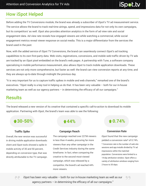## How iSpot Helped

Before adding the TV Conversions module, the brand was already a subscriber of iSpot's TV ad measurement service. The service allows the brand to track real-time airings, spend, and impressions data for not only its own campaigns, but its competitors' as well. iSpot also provides attention analytics in the form of ad view rate and social engagement data. Ad view rate reveals how engaged viewers are while watching a commercial, while social engagement metrics reveal viewer response on social media. This is a major differentiator from the services the brand used in the past.

Now, with the added service of iSpot TV Conversions, the brand can seamlessly connect iSpot's ad tracking capabilities to its own first-party data. Web visits, registrations, conversions, and mobile web traffic driven by TV ads are tracked by an iSpot pixel embedded on the brand's web pages. A partnership with Tune, a software company specializing in mobile performance measurement, also allows iSpot to track mobile application downloads. These services are not only more comprehensive, but faster as well: the brand can view conversion reports at any time, and they are always up-to-date through midnight the previous day.

"It is very important for us to capture traffic spikes in mobile and web channels," remarked one of the brand's executives. "iSpot really is a key tool in helping us do that. It has been very valuable – both for our in-house marketing team as well as our agency partners – in determining the efficacy of all our campaigns."

## **Results**

The brand released a new version of its creative that contained a specific call-to-action to download its mobile application. Partnering with iSpot, the brand's team was able to see the following:

## **30-50%**

#### **Traffic Spike**

Overall, the new version was successful in driving mobile application downloads: client and iSpot tools showed a spike in mobile activity of 30 and 50 percent, depending on conversion type, that was directly attributable to the TV campaign.

## **44%**

#### **Campaign Reach**

The campaign reached over 227M viewers in less than 4 weeks, procuring far more viewers than any other campaign in the Credit Services industry during the same timeframe. In fact, when comparing the creative to the second most-viewed campaign, which was released by a competitor, the brand's ad reached 44% more viewers.

## **0.74%**

#### **Conversion Rate**

iSpot found that the new campaign yielded a conversion rate\* of 0.74%. \* Conversion rate is the number of web site sessions and app installs divided by TV ad impressions within the matched population. Conversions were limited to a 14-day attribution window. iSpot offers a variety of attribution windows ranging from 2 hours to 30 days.

99

iSpot has been very valuable – both for our in-house marketing team as well as our agency partners – in determining the efficacy of all our campaigns."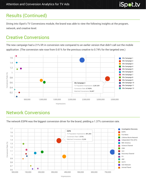## Results (Continued)

Diving into iSpot's TV Conversions module, the brand was able to view the following insights at the program, network, and creative level.

## Creative Conversions

The new campaign had a 21% lift in conversion rate compared to an earlier version that didn't call out the mobile application. (The conversion rate rose from 0.61% for the previous creative to 0.74% for the targeted one.)



## Network Conversions



The network ESPN was the biggest conversion driver for the brand, yielding a 1.37% conversion rate.